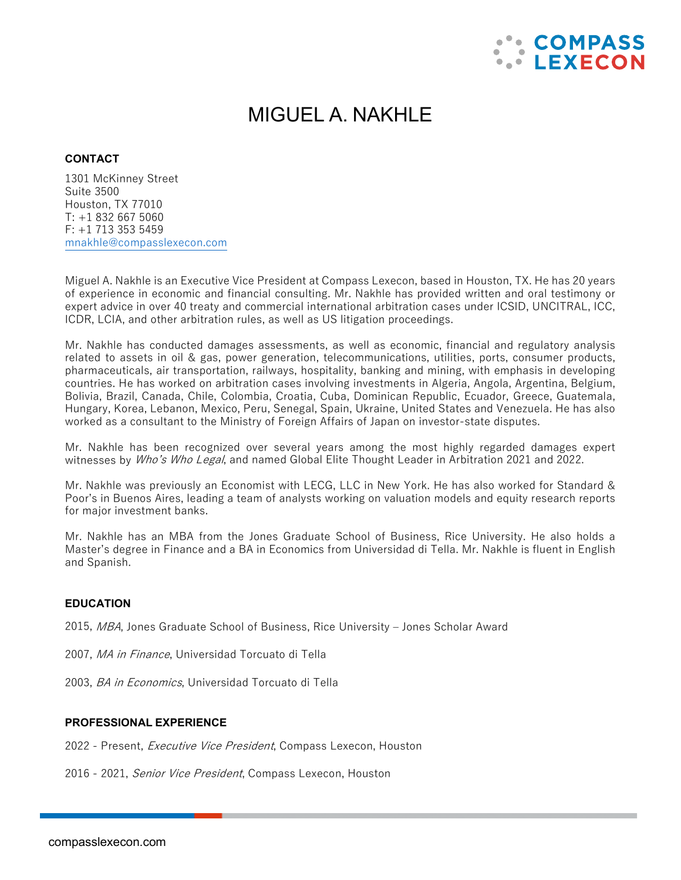

# MIGUEL A. NAKHLE

## **CONTACT**

1301 McKinney Street Suite 3500 Houston, TX 77010  $T: +18326675060$ F: +1 713 353 5459 [mnakhle@compasslexecon.com](mailto:mnakhle@compasslexecon.com) 

Miguel A. Nakhle is an Executive Vice President at Compass Lexecon, based in Houston, TX. He has 20 years of experience in economic and financial consulting. Mr. Nakhle has provided written and oral testimony or expert advice in over 40 treaty and commercial international arbitration cases under ICSID, UNCITRAL, ICC, ICDR, LCIA, and other arbitration rules, as well as US litigation proceedings.

Mr. Nakhle has conducted damages assessments, as well as economic, financial and regulatory analysis related to assets in oil & gas, power generation, telecommunications, utilities, ports, consumer products, pharmaceuticals, air transportation, railways, hospitality, banking and mining, with emphasis in developing countries. He has worked on arbitration cases involving investments in Algeria, Angola, Argentina, Belgium, Bolivia, Brazil, Canada, Chile, Colombia, Croatia, Cuba, Dominican Republic, Ecuador, Greece, Guatemala, Hungary, Korea, Lebanon, Mexico, Peru, Senegal, Spain, Ukraine, United States and Venezuela. He has also worked as a consultant to the Ministry of Foreign Affairs of Japan on investor-state disputes.

Mr. Nakhle has been recognized over several years among the most highly regarded damages expert witnesses by Who's Who Legal, and named Global Elite Thought Leader in Arbitration 2021 and 2022.

Mr. Nakhle was previously an Economist with LECG, LLC in New York. He has also worked for Standard & Poor's in Buenos Aires, leading a team of analysts working on valuation models and equity research reports for major investment banks.

Mr. Nakhle has an MBA from the Jones Graduate School of Business, Rice University. He also holds a Master's degree in Finance and a BA in Economics from Universidad di Tella. Mr. Nakhle is fluent in English and Spanish.

## **EDUCATION**

2015, MBA, Jones Graduate School of Business, Rice University – Jones Scholar Award

- 2007, MA in Finance, Universidad Torcuato di Tella
- 2003, BA in Economics, Universidad Torcuato di Tella

#### **PROFESSIONAL EXPERIENCE**

2022 - Present, Executive Vice President, Compass Lexecon, Houston

2016 - 2021, Senior Vice President, Compass Lexecon, Houston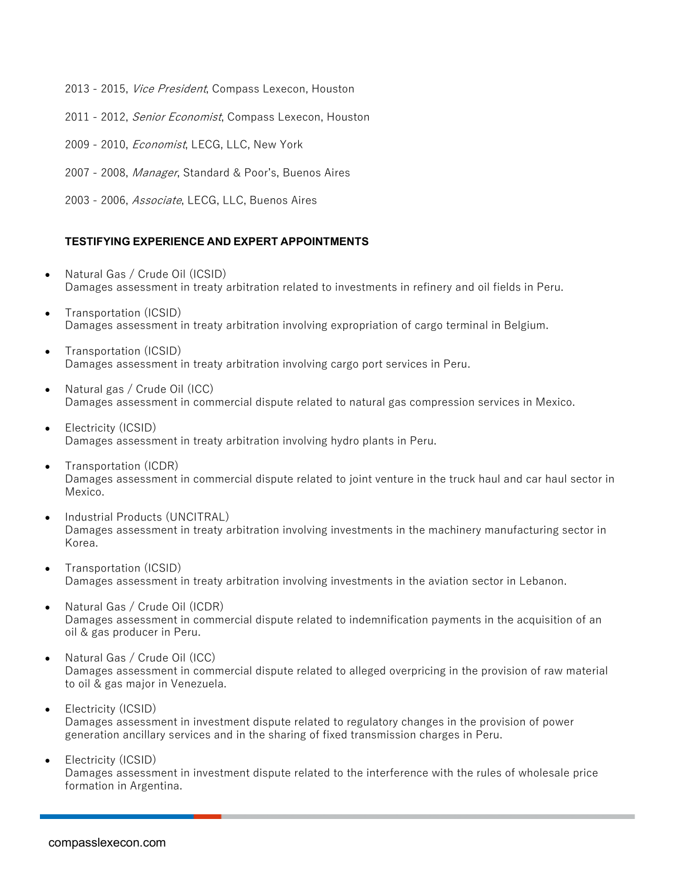- 2013 2015, Vice President, Compass Lexecon, Houston
- 2011 2012, Senior Economist, Compass Lexecon, Houston
- 2009 2010, *Economist*, LECG, LLC, New York
- 2007 2008, Manager, Standard & Poor's, Buenos Aires
- 2003 2006, Associate, LECG, LLC, Buenos Aires

### **TESTIFYING EXPERIENCE AND EXPERT APPOINTMENTS**

- Natural Gas / Crude Oil (ICSID) Damages assessment in treaty arbitration related to investments in refinery and oil fields in Peru.
- Transportation (ICSID) Damages assessment in treaty arbitration involving expropriation of cargo terminal in Belgium.
- Transportation (ICSID) Damages assessment in treaty arbitration involving cargo port services in Peru.
- Natural gas / Crude Oil (ICC) Damages assessment in commercial dispute related to natural gas compression services in Mexico.
- Electricity (ICSID) Damages assessment in treaty arbitration involving hydro plants in Peru.
- Transportation (ICDR) Damages assessment in commercial dispute related to joint venture in the truck haul and car haul sector in Mexico.
- Industrial Products (UNCITRAL) Damages assessment in treaty arbitration involving investments in the machinery manufacturing sector in Korea.
- Transportation (ICSID) Damages assessment in treaty arbitration involving investments in the aviation sector in Lebanon.
- Natural Gas / Crude Oil (ICDR) Damages assessment in commercial dispute related to indemnification payments in the acquisition of an oil & gas producer in Peru.
- Natural Gas / Crude Oil (ICC) Damages assessment in commercial dispute related to alleged overpricing in the provision of raw material to oil & gas major in Venezuela.
- Electricity (ICSID) Damages assessment in investment dispute related to regulatory changes in the provision of power generation ancillary services and in the sharing of fixed transmission charges in Peru.
- Electricity (ICSID) Damages assessment in investment dispute related to the interference with the rules of wholesale price formation in Argentina.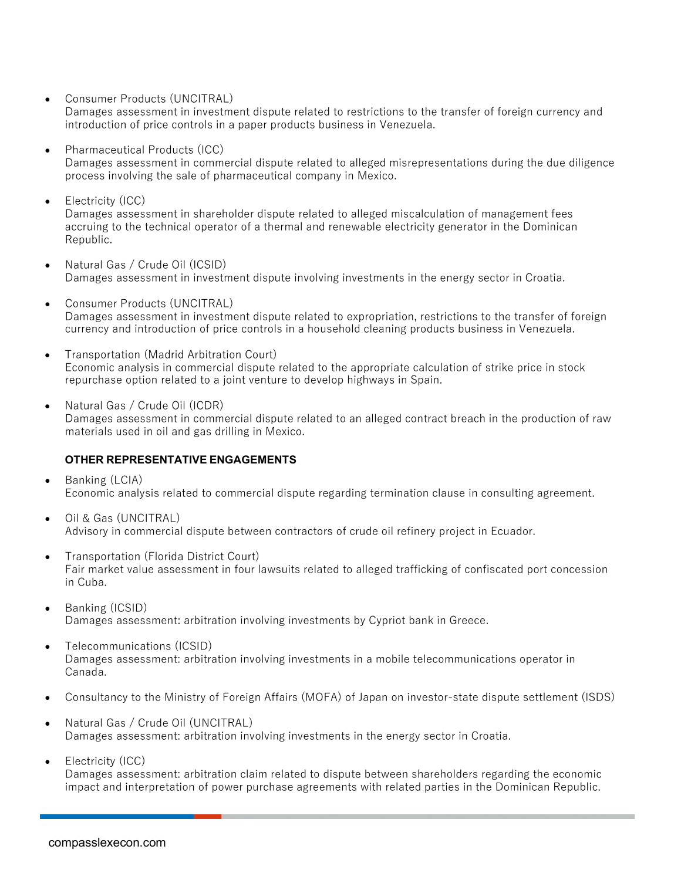• Consumer Products (UNCITRAL)

Damages assessment in investment dispute related to restrictions to the transfer of foreign currency and introduction of price controls in a paper products business in Venezuela.

- Pharmaceutical Products (ICC) Damages assessment in commercial dispute related to alleged misrepresentations during the due diligence process involving the sale of pharmaceutical company in Mexico.
- Electricity (ICC) Damages assessment in shareholder dispute related to alleged miscalculation of management fees accruing to the technical operator of a thermal and renewable electricity generator in the Dominican Republic.
- Natural Gas / Crude Oil (ICSID) Damages assessment in investment dispute involving investments in the energy sector in Croatia.
- Consumer Products (UNCITRAL) Damages assessment in investment dispute related to expropriation, restrictions to the transfer of foreign currency and introduction of price controls in a household cleaning products business in Venezuela.
- Transportation (Madrid Arbitration Court) Economic analysis in commercial dispute related to the appropriate calculation of strike price in stock repurchase option related to a joint venture to develop highways in Spain.
- Natural Gas / Crude Oil (ICDR) Damages assessment in commercial dispute related to an alleged contract breach in the production of raw materials used in oil and gas drilling in Mexico.

## **OTHER REPRESENTATIVE ENGAGEMENTS**

- Banking (LCIA) Economic analysis related to commercial dispute regarding termination clause in consulting agreement.
- Oil & Gas (UNCITRAL) Advisory in commercial dispute between contractors of crude oil refinery project in Ecuador.
- Transportation (Florida District Court) Fair market value assessment in four lawsuits related to alleged trafficking of confiscated port concession in Cuba.
- Banking (ICSID) Damages assessment: arbitration involving investments by Cypriot bank in Greece.
- Telecommunications (ICSID) Damages assessment: arbitration involving investments in a mobile telecommunications operator in Canada.
- Consultancy to the Ministry of Foreign Affairs (MOFA) of Japan on investor-state dispute settlement (ISDS)
- Natural Gas / Crude Oil (UNCITRAL) Damages assessment: arbitration involving investments in the energy sector in Croatia.
- Electricity (ICC)

Damages assessment: arbitration claim related to dispute between shareholders regarding the economic impact and interpretation of power purchase agreements with related parties in the Dominican Republic.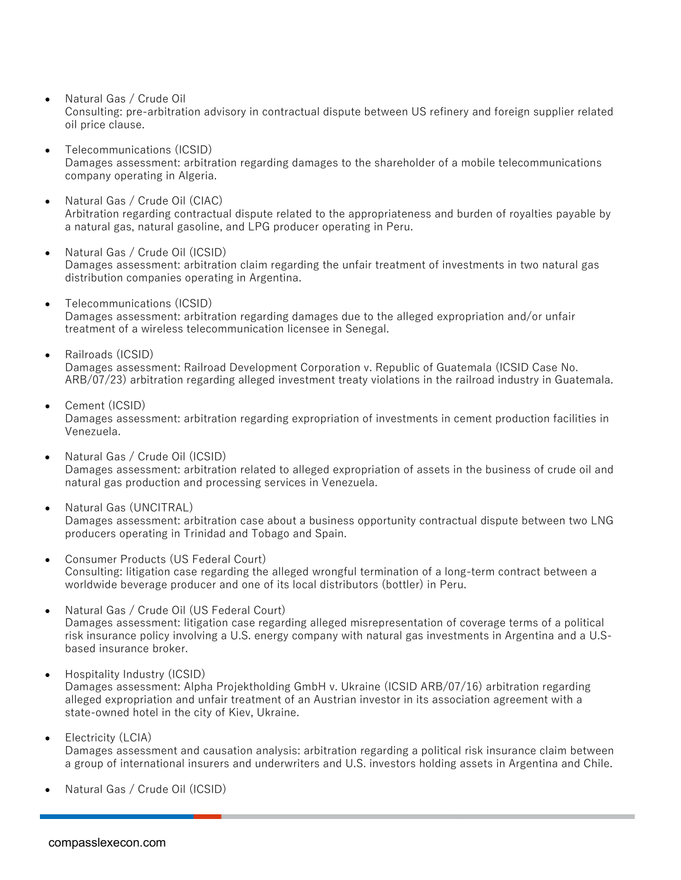• Natural Gas / Crude Oil

Consulting: pre-arbitration advisory in contractual dispute between US refinery and foreign supplier related oil price clause.

- Telecommunications (ICSID) Damages assessment: arbitration regarding damages to the shareholder of a mobile telecommunications company operating in Algeria.
- Natural Gas / Crude Oil (CIAC) Arbitration regarding contractual dispute related to the appropriateness and burden of royalties payable by a natural gas, natural gasoline, and LPG producer operating in Peru.
- Natural Gas / Crude Oil (ICSID) Damages assessment: arbitration claim regarding the unfair treatment of investments in two natural gas distribution companies operating in Argentina.
- Telecommunications (ICSID) Damages assessment: arbitration regarding damages due to the alleged expropriation and/or unfair treatment of a wireless telecommunication licensee in Senegal.
- Railroads (ICSID)

Damages assessment: Railroad Development Corporation v. Republic of Guatemala (ICSID Case No. ARB/07/23) arbitration regarding alleged investment treaty violations in the railroad industry in Guatemala.

• Cement (ICSID)

Damages assessment: arbitration regarding expropriation of investments in cement production facilities in Venezuela.

- Natural Gas / Crude Oil (ICSID) Damages assessment: arbitration related to alleged expropriation of assets in the business of crude oil and natural gas production and processing services in Venezuela.
- Natural Gas (UNCITRAL) Damages assessment: arbitration case about a business opportunity contractual dispute between two LNG producers operating in Trinidad and Tobago and Spain.
- Consumer Products (US Federal Court) Consulting: litigation case regarding the alleged wrongful termination of a long-term contract between a worldwide beverage producer and one of its local distributors (bottler) in Peru.
- Natural Gas / Crude Oil (US Federal Court) Damages assessment: litigation case regarding alleged misrepresentation of coverage terms of a political risk insurance policy involving a U.S. energy company with natural gas investments in Argentina and a U.Sbased insurance broker.
- Hospitality Industry (ICSID) Damages assessment: Alpha Projektholding GmbH v. Ukraine (ICSID ARB/07/16) arbitration regarding alleged expropriation and unfair treatment of an Austrian investor in its association agreement with a state-owned hotel in the city of Kiev, Ukraine.
- Electricity (LCIA) Damages assessment and causation analysis: arbitration regarding a political risk insurance claim between a group of international insurers and underwriters and U.S. investors holding assets in Argentina and Chile.
- Natural Gas / Crude Oil (ICSID)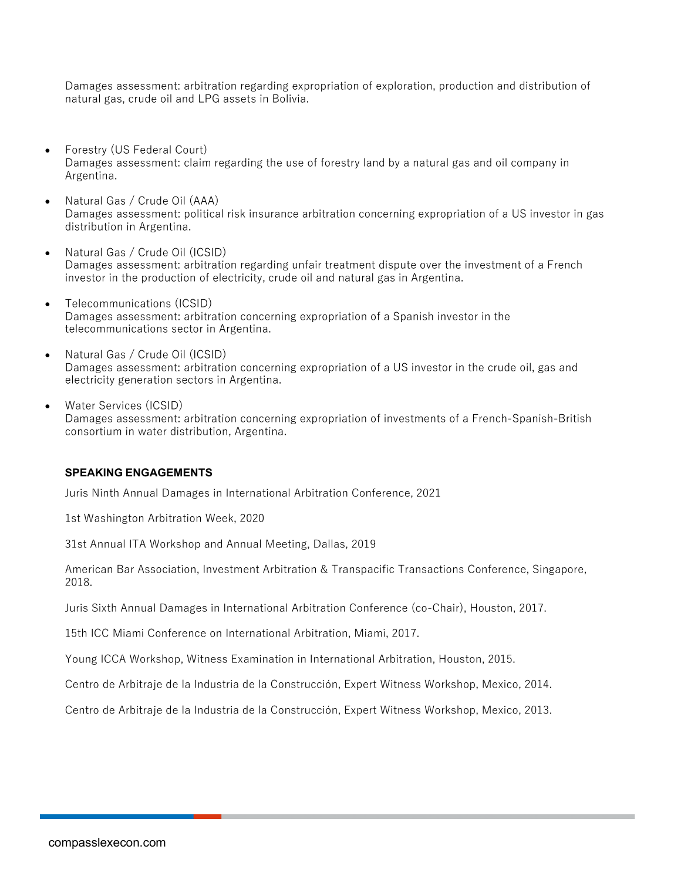Damages assessment: arbitration regarding expropriation of exploration, production and distribution of natural gas, crude oil and LPG assets in Bolivia.

- Forestry (US Federal Court) Damages assessment: claim regarding the use of forestry land by a natural gas and oil company in Argentina.
- Natural Gas / Crude Oil (AAA) Damages assessment: political risk insurance arbitration concerning expropriation of a US investor in gas distribution in Argentina.
- Natural Gas / Crude Oil (ICSID) Damages assessment: arbitration regarding unfair treatment dispute over the investment of a French investor in the production of electricity, crude oil and natural gas in Argentina.
- Telecommunications (ICSID) Damages assessment: arbitration concerning expropriation of a Spanish investor in the telecommunications sector in Argentina.
- Natural Gas / Crude Oil (ICSID) Damages assessment: arbitration concerning expropriation of a US investor in the crude oil, gas and electricity generation sectors in Argentina.
- Water Services (ICSID) Damages assessment: arbitration concerning expropriation of investments of a French-Spanish-British consortium in water distribution, Argentina.

## **SPEAKING ENGAGEMENTS**

Juris Ninth Annual Damages in International Arbitration Conference, 2021

1st Washington Arbitration Week, 2020

31st Annual ITA Workshop and Annual Meeting, Dallas, 2019

American Bar Association, Investment Arbitration & Transpacific Transactions Conference, Singapore, 2018.

Juris Sixth Annual Damages in International Arbitration Conference (co-Chair), Houston, 2017.

15th ICC Miami Conference on International Arbitration, Miami, 2017.

Young ICCA Workshop, Witness Examination in International Arbitration, Houston, 2015.

Centro de Arbitraje de la Industria de la Construcción, Expert Witness Workshop, Mexico, 2014.

Centro de Arbitraje de la Industria de la Construcción, Expert Witness Workshop, Mexico, 2013.